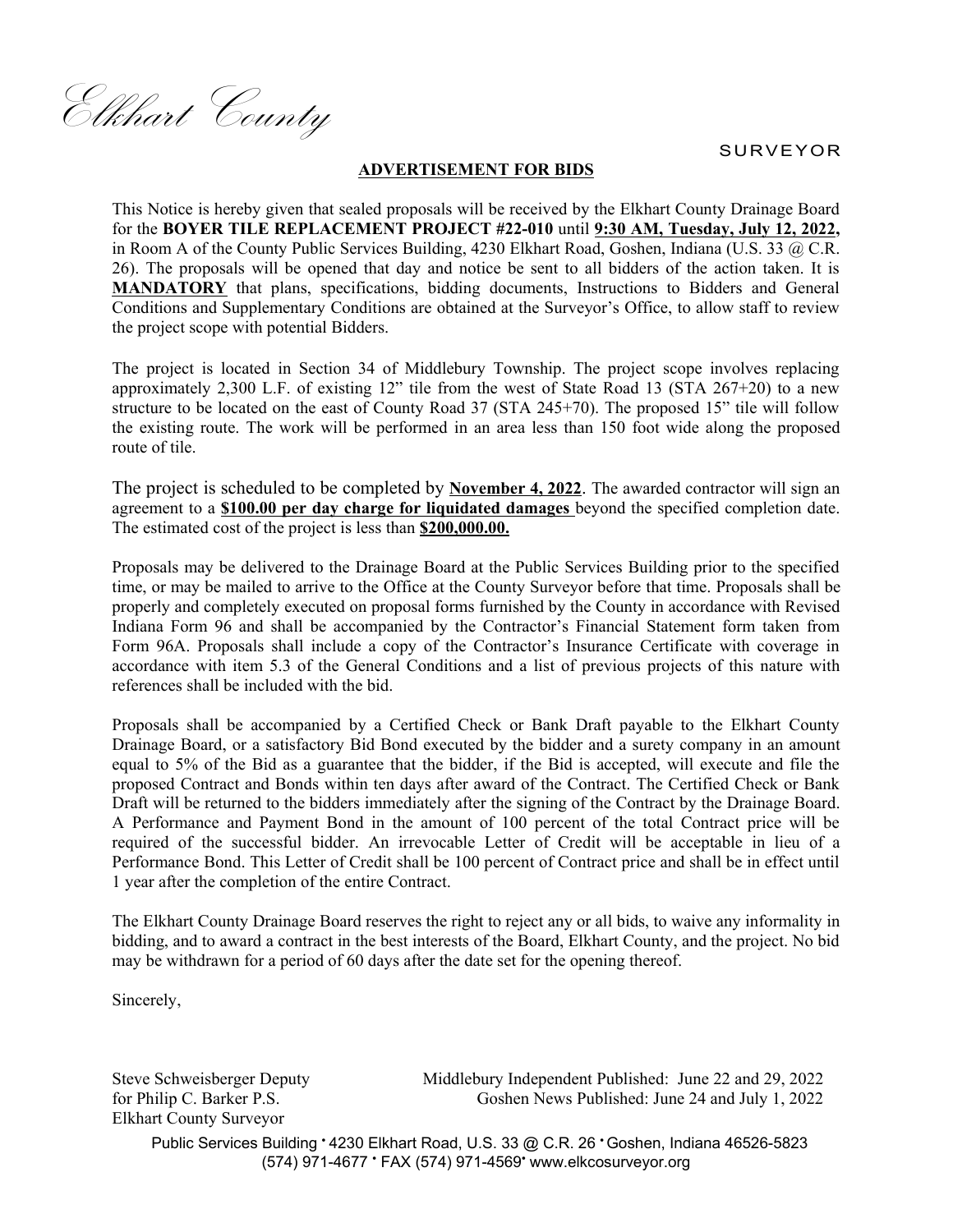Elkhart County

SURVEYOR

## **ADVERTISEMENT FOR BIDS**

This Notice is hereby given that sealed proposals will be received by the Elkhart County Drainage Board for the **BOYER TILE REPLACEMENT PROJECT #22-010** until **9:30 AM, Tuesday, July 12, 2022,** in Room A of the County Public Services Building, 4230 Elkhart Road, Goshen, Indiana (U.S. 33 @ C.R. 26). The proposals will be opened that day and notice be sent to all bidders of the action taken. It is **MANDATORY** that plans, specifications, bidding documents, Instructions to Bidders and General Conditions and Supplementary Conditions are obtained at the Surveyor's Office, to allow staff to review the project scope with potential Bidders.

The project is located in Section 34 of Middlebury Township. The project scope involves replacing approximately 2,300 L.F. of existing 12" tile from the west of State Road 13 (STA 267+20) to a new structure to be located on the east of County Road 37 (STA 245+70). The proposed 15" tile will follow the existing route. The work will be performed in an area less than 150 foot wide along the proposed route of tile.

The project is scheduled to be completed by **November 4, 2022**. The awarded contractor will sign an agreement to a **\$100.00 per day charge for liquidated damages** beyond the specified completion date. The estimated cost of the project is less than **\$200,000.00.**

Proposals may be delivered to the Drainage Board at the Public Services Building prior to the specified time, or may be mailed to arrive to the Office at the County Surveyor before that time. Proposals shall be properly and completely executed on proposal forms furnished by the County in accordance with Revised Indiana Form 96 and shall be accompanied by the Contractor's Financial Statement form taken from Form 96A. Proposals shall include a copy of the Contractor's Insurance Certificate with coverage in accordance with item 5.3 of the General Conditions and a list of previous projects of this nature with references shall be included with the bid.

Proposals shall be accompanied by a Certified Check or Bank Draft payable to the Elkhart County Drainage Board, or a satisfactory Bid Bond executed by the bidder and a surety company in an amount equal to 5% of the Bid as a guarantee that the bidder, if the Bid is accepted, will execute and file the proposed Contract and Bonds within ten days after award of the Contract. The Certified Check or Bank Draft will be returned to the bidders immediately after the signing of the Contract by the Drainage Board. A Performance and Payment Bond in the amount of 100 percent of the total Contract price will be required of the successful bidder. An irrevocable Letter of Credit will be acceptable in lieu of a Performance Bond. This Letter of Credit shall be 100 percent of Contract price and shall be in effect until 1 year after the completion of the entire Contract.

The Elkhart County Drainage Board reserves the right to reject any or all bids, to waive any informality in bidding, and to award a contract in the best interests of the Board, Elkhart County, and the project. No bid may be withdrawn for a period of 60 days after the date set for the opening thereof.

Sincerely,

Steve Schweisberger Deputy for Philip C. Barker P.S. Elkhart County Surveyor

Middlebury Independent Published: June 22 and 29, 2022 Goshen News Published: June 24 and July 1, 2022

Public Services Building \* 4230 Elkhart Road, U.S. 33 @ C.R. 26 \* Goshen, Indiana 46526-5823 (574) 971-4677 FAX (574) 971-4569 www.elkcosurveyor.org